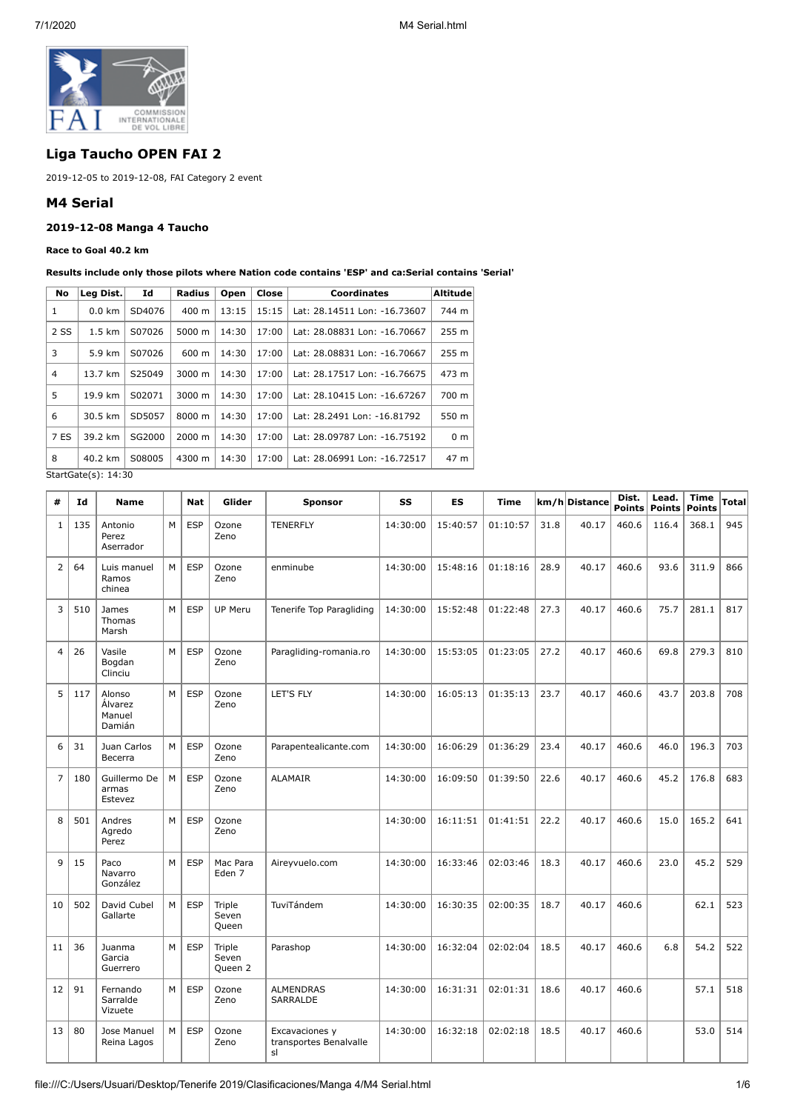

# **Liga Taucho OPEN FAI 2**

2019-12-05 to 2019-12-08, FAI Category 2 event

## **M4 Serial**

## **2019-12-08 Manga 4 Taucho**

**Race to Goal 40.2 km**

**Results include only those pilots where Nation code contains 'ESP' and ca:Serial contains 'Serial'**

|                  | Id        | Radius          | Open  | Close | <b>Coordinates</b>           | <b>Altitude</b> |
|------------------|-----------|-----------------|-------|-------|------------------------------|-----------------|
| $0.0 \text{ km}$ | SD4076    | 400 m           | 13:15 | 15:15 | Lat: 28.14511 Lon: -16.73607 | 744 m           |
| $1.5 \text{ km}$ | S07026    | 5000 m          | 14:30 | 17:00 | Lat: 28.08831 Lon: -16.70667 | 255 m           |
| 5.9 km           | S07026    | $600 \text{ m}$ | 14:30 | 17:00 | Lat: 28.08831 Lon: -16.70667 | 255 m           |
| 13.7 km          | S25049    | 3000 m          | 14:30 | 17:00 | Lat: 28.17517 Lon: -16.76675 | 473 m           |
| 19.9 km          | S02071    | 3000 m          | 14:30 | 17:00 | Lat: 28.10415 Lon: -16.67267 | 700 m           |
| 30.5 km          | SD5057    | 8000 m          | 14:30 | 17:00 | Lat: 28.2491 Lon: -16.81792  | 550 m           |
| 39.2 km          | SG2000    | $2000 \; m$     | 14:30 | 17:00 | Lat: 28.09787 Lon: -16.75192 | 0 <sub>m</sub>  |
| 40.2 km          | S08005    | 4300 m          | 14:30 | 17:00 | Lat: 28.06991 Lon: -16.72517 | 47 m            |
|                  | Leg Dist. |                 |       |       |                              |                 |

StartGate(s): 14:30

| #              | Id  | <b>Name</b>                           |   | <b>Nat</b> | Glider                     | <b>Sponsor</b>                                 | SS       | <b>ES</b> | Time     |      | km/h Distance | Dist.<br>Points | Lead.<br><b>Points</b> | <b>Time</b><br><b>Points</b> | <b>Total</b> |
|----------------|-----|---------------------------------------|---|------------|----------------------------|------------------------------------------------|----------|-----------|----------|------|---------------|-----------------|------------------------|------------------------------|--------------|
| $\mathbf{1}$   | 135 | Antonio<br>Perez<br>Aserrador         | M | <b>ESP</b> | Ozone<br>Zeno              | <b>TENERFLY</b>                                | 14:30:00 | 15:40:57  | 01:10:57 | 31.8 | 40.17         | 460.6           | 116.4                  | 368.1                        | 945          |
| $\overline{2}$ | 64  | Luis manuel<br>Ramos<br>chinea        | M | <b>ESP</b> | Ozone<br>Zeno              | enminube                                       | 14:30:00 | 15:48:16  | 01:18:16 | 28.9 | 40.17         | 460.6           | 93.6                   | 311.9                        | 866          |
| 3              | 510 | James<br>Thomas<br>Marsh              | M | <b>ESP</b> | <b>UP Meru</b>             | Tenerife Top Paragliding                       | 14:30:00 | 15:52:48  | 01:22:48 | 27.3 | 40.17         | 460.6           | 75.7                   | 281.1                        | 817          |
| $\overline{4}$ | 26  | Vasile<br>Bogdan<br>Clinciu           | M | <b>ESP</b> | Ozone<br>Zeno              | Paragliding-romania.ro                         | 14:30:00 | 15:53:05  | 01:23:05 | 27.2 | 40.17         | 460.6           | 69.8                   | 279.3                        | 810          |
| 5              | 117 | Alonso<br>Álvarez<br>Manuel<br>Damián | M | <b>ESP</b> | Ozone<br>Zeno              | LET'S FLY                                      | 14:30:00 | 16:05:13  | 01:35:13 | 23.7 | 40.17         | 460.6           | 43.7                   | 203.8                        | 708          |
| 6              | 31  | Juan Carlos<br>Becerra                | M | <b>ESP</b> | Ozone<br>Zeno              | Parapentealicante.com                          | 14:30:00 | 16:06:29  | 01:36:29 | 23.4 | 40.17         | 460.6           | 46.0                   | 196.3                        | 703          |
| $\overline{7}$ | 180 | Guillermo De<br>armas<br>Estevez      | M | <b>ESP</b> | Ozone<br>Zeno              | <b>ALAMAIR</b>                                 | 14:30:00 | 16:09:50  | 01:39:50 | 22.6 | 40.17         | 460.6           | 45.2                   | 176.8                        | 683          |
| 8              | 501 | Andres<br>Agredo<br>Perez             | M | <b>ESP</b> | Ozone<br>Zeno              |                                                | 14:30:00 | 16:11:51  | 01:41:51 | 22.2 | 40.17         | 460.6           | 15.0                   | 165.2                        | 641          |
| $\mathsf{Q}$   | 15  | Paco<br>Navarro<br>González           | M | <b>ESP</b> | Mac Para<br>Eden 7         | Aireyvuelo.com                                 | 14:30:00 | 16:33:46  | 02:03:46 | 18.3 | 40.17         | 460.6           | 23.0                   | 45.2                         | 529          |
| 10             | 502 | David Cubel<br>Gallarte               | M | <b>ESP</b> | Triple<br>Seven<br>Queen   | TuviTándem                                     | 14:30:00 | 16:30:35  | 02:00:35 | 18.7 | 40.17         | 460.6           |                        | 62.1                         | 523          |
| 11             | 36  | Juanma<br>Garcia<br>Guerrero          | M | <b>ESP</b> | Triple<br>Seven<br>Queen 2 | Parashop                                       | 14:30:00 | 16:32:04  | 02:02:04 | 18.5 | 40.17         | 460.6           | 6.8                    | 54.2                         | 522          |
| 12             | 91  | Fernando<br>Sarralde<br>Vizuete       | M | <b>ESP</b> | Ozone<br>Zeno              | <b>ALMENDRAS</b><br>SARRALDE                   | 14:30:00 | 16:31:31  | 02:01:31 | 18.6 | 40.17         | 460.6           |                        | 57.1                         | 518          |
| 13             | 80  | Jose Manuel<br>Reina Lagos            | M | <b>ESP</b> | Ozone<br>Zeno              | Excavaciones y<br>transportes Benalvalle<br>sl | 14:30:00 | 16:32:18  | 02:02:18 | 18.5 | 40.17         | 460.6           |                        | 53.0                         | 514          |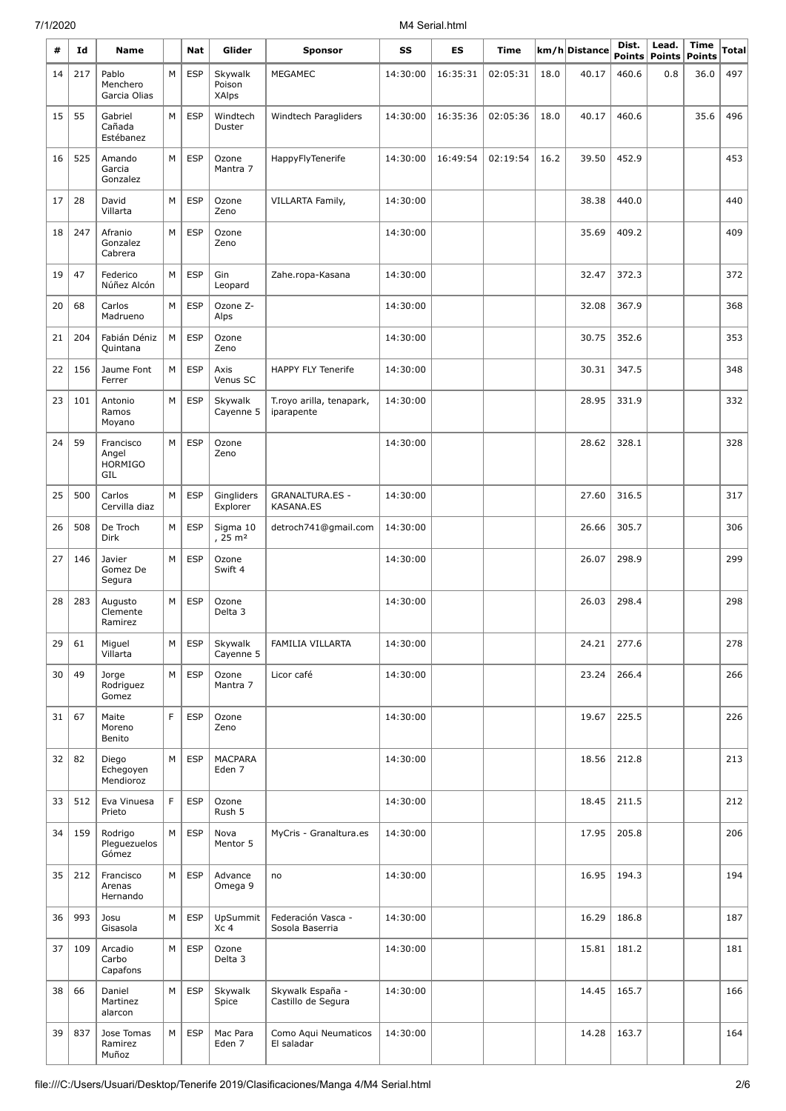## 7/1/2020 M4 Serial.html

| #  | Id  | <b>Name</b>                                 |   | Nat        | Glider                             | <b>Sponsor</b>                         | SS       | ES       | Time     |      | km/h Distance | Dist.<br><b>Points</b> | Lead.<br>Points | Time<br><b>Points</b> | Total |
|----|-----|---------------------------------------------|---|------------|------------------------------------|----------------------------------------|----------|----------|----------|------|---------------|------------------------|-----------------|-----------------------|-------|
| 14 | 217 | Pablo                                       | M | <b>ESP</b> | Skywalk                            | <b>MEGAMEC</b>                         | 14:30:00 | 16:35:31 | 02:05:31 | 18.0 | 40.17         | 460.6                  | 0.8             | 36.0                  | 497   |
|    |     | Menchero<br>Garcia Olias                    |   |            | Poison<br><b>XAlps</b>             |                                        |          |          |          |      |               |                        |                 |                       |       |
| 15 | 55  | Gabriel<br>Cañada<br>Estébanez              | M | <b>ESP</b> | Windtech<br>Duster                 | Windtech Paragliders                   | 14:30:00 | 16:35:36 | 02:05:36 | 18.0 | 40.17         | 460.6                  |                 | 35.6                  | 496   |
| 16 | 525 | Amando<br>Garcia<br>Gonzalez                | M | <b>ESP</b> | Ozone<br>Mantra 7                  | HappyFlyTenerife                       | 14:30:00 | 16:49:54 | 02:19:54 | 16.2 | 39.50         | 452.9                  |                 |                       | 453   |
| 17 | 28  | David<br>Villarta                           | M | <b>ESP</b> | Ozone<br>Zeno                      | VILLARTA Family,                       | 14:30:00 |          |          |      | 38.38         | 440.0                  |                 |                       | 440   |
| 18 | 247 | Afranio<br>Gonzalez<br>Cabrera              | M | <b>ESP</b> | Ozone<br>Zeno                      |                                        | 14:30:00 |          |          |      | 35.69         | 409.2                  |                 |                       | 409   |
| 19 | 47  | Federico<br>Núñez Alcón                     | M | <b>ESP</b> | Gin<br>Leopard                     | Zahe.ropa-Kasana                       | 14:30:00 |          |          |      | 32.47         | 372.3                  |                 |                       | 372   |
| 20 | 68  | Carlos<br>Madrueno                          | M | <b>ESP</b> | Ozone Z-<br>Alps                   |                                        | 14:30:00 |          |          |      | 32.08         | 367.9                  |                 |                       | 368   |
| 21 | 204 | Fabián Déniz<br>Quintana                    | М | <b>ESP</b> | Ozone<br>Zeno                      |                                        | 14:30:00 |          |          |      | 30.75         | 352.6                  |                 |                       | 353   |
| 22 | 156 | Jaume Font<br>Ferrer                        | М | <b>ESP</b> | Axis<br>Venus SC                   | <b>HAPPY FLY Tenerife</b>              | 14:30:00 |          |          |      | 30.31         | 347.5                  |                 |                       | 348   |
| 23 | 101 | Antonio<br>Ramos<br>Moyano                  | М | <b>ESP</b> | Skywalk<br>Cayenne 5               | T.royo arilla, tenapark,<br>iparapente | 14:30:00 |          |          |      | 28.95         | 331.9                  |                 |                       | 332   |
| 24 | 59  | Francisco<br>Angel<br><b>HORMIGO</b><br>GIL | M | <b>ESP</b> | Ozone<br>Zeno                      |                                        | 14:30:00 |          |          |      | 28.62         | 328.1                  |                 |                       | 328   |
| 25 | 500 | Carlos<br>Cervilla diaz                     | М | <b>ESP</b> | Gingliders<br>Explorer             | <b>GRANALTURA.ES -</b><br>KASANA.ES    | 14:30:00 |          |          |      | 27.60         | 316.5                  |                 |                       | 317   |
| 26 | 508 | De Troch<br><b>Dirk</b>                     | М | <b>ESP</b> | Sigma 10<br>$, 25 \; \mathrm{m}^2$ | detroch741@gmail.com                   | 14:30:00 |          |          |      | 26.66         | 305.7                  |                 |                       | 306   |
| 27 | 146 | Javier<br>Gomez De<br>Segura                | М | <b>ESP</b> | Ozone<br>Swift 4                   |                                        | 14:30:00 |          |          |      | 26.07         | 298.9                  |                 |                       | 299   |
| 28 | 283 | Augusto<br>Clemente<br>Ramirez              | M | <b>ESP</b> | Ozone<br>Delta 3                   |                                        | 14:30:00 |          |          |      | 26.03         | 298.4                  |                 |                       | 298   |
| 29 | 61  | Miguel<br>Villarta                          | M | <b>ESP</b> | Skywalk<br>Cayenne 5               | FAMILIA VILLARTA                       | 14:30:00 |          |          |      | 24.21         | 277.6                  |                 |                       | 278   |
| 30 | 49  | Jorge<br>Rodriguez<br>Gomez                 | M | <b>ESP</b> | Ozone<br>Mantra 7                  | Licor café                             | 14:30:00 |          |          |      | 23.24         | 266.4                  |                 |                       | 266   |
| 31 | 67  | Maite<br>Moreno<br>Benito                   | F | <b>ESP</b> | Ozone<br>Zeno                      |                                        | 14:30:00 |          |          |      | 19.67         | 225.5                  |                 |                       | 226   |
| 32 | 82  | Diego<br>Echegoyen<br>Mendioroz             | M | <b>ESP</b> | <b>MACPARA</b><br>Eden 7           |                                        | 14:30:00 |          |          |      | 18.56         | 212.8                  |                 |                       | 213   |
| 33 | 512 | Eva Vinuesa<br>Prieto                       | F | <b>ESP</b> | Ozone<br>Rush 5                    |                                        | 14:30:00 |          |          |      | 18.45         | 211.5                  |                 |                       | 212   |
| 34 | 159 | Rodrigo<br>Pleguezuelos<br>Gómez            | М | <b>ESP</b> | Nova<br>Mentor 5                   | MyCris - Granaltura.es                 | 14:30:00 |          |          |      | 17.95         | 205.8                  |                 |                       | 206   |
| 35 | 212 | Francisco<br>Arenas<br>Hernando             | М | <b>ESP</b> | Advance<br>Omega 9                 | no                                     | 14:30:00 |          |          |      | 16.95         | 194.3                  |                 |                       | 194   |
| 36 | 993 | Josu<br>Gisasola                            | М | <b>ESP</b> | UpSummit<br>Xc 4                   | Federación Vasca -<br>Sosola Baserria  | 14:30:00 |          |          |      | 16.29         | 186.8                  |                 |                       | 187   |
| 37 | 109 | Arcadio<br>Carbo<br>Capafons                | М | <b>ESP</b> | Ozone<br>Delta 3                   |                                        | 14:30:00 |          |          |      | 15.81         | 181.2                  |                 |                       | 181   |
| 38 | 66  | Daniel<br>Martinez<br>alarcon               | M | <b>ESP</b> | Skywalk<br>Spice                   | Skywalk España -<br>Castillo de Segura | 14:30:00 |          |          |      | 14.45         | 165.7                  |                 |                       | 166   |
| 39 | 837 | Jose Tomas<br>Ramirez<br>Muñoz              | М | <b>ESP</b> | Mac Para<br>Eden 7                 | Como Aqui Neumaticos<br>El saladar     | 14:30:00 |          |          |      | 14.28         | 163.7                  |                 |                       | 164   |

÷,

÷,

Ļ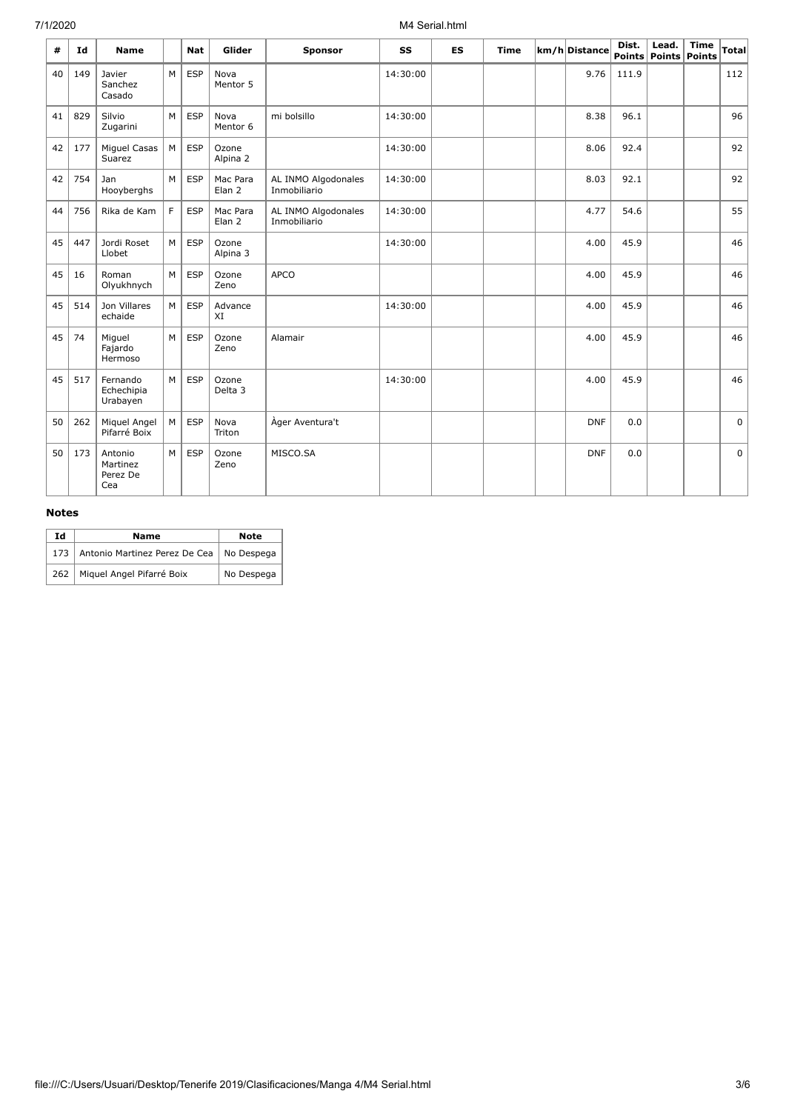## 7/1/2020 M4 Serial.html

| #  | Id  | <b>Name</b>                            |   | <b>Nat</b> | Glider                        | <b>Sponsor</b>                      | SS       | <b>ES</b> | <b>Time</b> | km/h Distance | Dist. | Lead.<br>Points Points Points | <b>Time</b> | <b>Total</b> |
|----|-----|----------------------------------------|---|------------|-------------------------------|-------------------------------------|----------|-----------|-------------|---------------|-------|-------------------------------|-------------|--------------|
| 40 | 149 | Javier<br>Sanchez<br>Casado            | M | <b>ESP</b> | Nova<br>Mentor 5              |                                     | 14:30:00 |           |             | 9.76          | 111.9 |                               |             | 112          |
| 41 | 829 | Silvio<br>Zugarini                     | M | <b>ESP</b> | Nova<br>Mentor 6              | mi bolsillo                         | 14:30:00 |           |             | 8.38          | 96.1  |                               |             | 96           |
| 42 | 177 | Miguel Casas<br>Suarez                 | M | <b>ESP</b> | Ozone<br>Alpina 2             |                                     | 14:30:00 |           |             | 8.06          | 92.4  |                               |             | 92           |
| 42 | 754 | Jan<br>Hooyberghs                      | M | <b>ESP</b> | Mac Para<br>Elan <sub>2</sub> | AL INMO Algodonales<br>Inmobiliario | 14:30:00 |           |             | 8.03          | 92.1  |                               |             | 92           |
| 44 | 756 | Rika de Kam                            | F | <b>ESP</b> | Mac Para<br>Elan <sub>2</sub> | AL INMO Algodonales<br>Inmobiliario | 14:30:00 |           |             | 4.77          | 54.6  |                               |             | 55           |
| 45 | 447 | Jordi Roset<br>Llobet                  | M | <b>ESP</b> | Ozone<br>Alpina 3             |                                     | 14:30:00 |           |             | 4.00          | 45.9  |                               |             | 46           |
| 45 | 16  | Roman<br>Olyukhnych                    | M | <b>ESP</b> | Ozone<br>Zeno                 | <b>APCO</b>                         |          |           |             | 4.00          | 45.9  |                               |             | 46           |
| 45 | 514 | Jon Villares<br>echaide                | M | <b>ESP</b> | Advance<br>XI                 |                                     | 14:30:00 |           |             | 4.00          | 45.9  |                               |             | 46           |
| 45 | 74  | Miguel<br>Fajardo<br>Hermoso           | M | <b>ESP</b> | Ozone<br>Zeno                 | Alamair                             |          |           |             | 4.00          | 45.9  |                               |             | 46           |
| 45 | 517 | Fernando<br>Echechipia<br>Urabayen     | M | <b>ESP</b> | Ozone<br>Delta 3              |                                     | 14:30:00 |           |             | 4.00          | 45.9  |                               |             | 46           |
| 50 | 262 | Miquel Angel<br>Pifarré Boix           | М | <b>ESP</b> | Nova<br>Triton                | Àger Aventura't                     |          |           |             | <b>DNF</b>    | 0.0   |                               |             | 0            |
| 50 | 173 | Antonio<br>Martinez<br>Perez De<br>Cea | M | <b>ESP</b> | Ozone<br>Zeno                 | MISCO.SA                            |          |           |             | <b>DNF</b>    | 0.0   |                               |             | $\mathbf 0$  |

## **Notes**

| Id  | <b>Name</b>                   | <b>Note</b> |
|-----|-------------------------------|-------------|
| 173 | Antonio Martinez Perez De Cea | No Despega  |
| 262 | Miquel Angel Pifarré Boix     | No Despega  |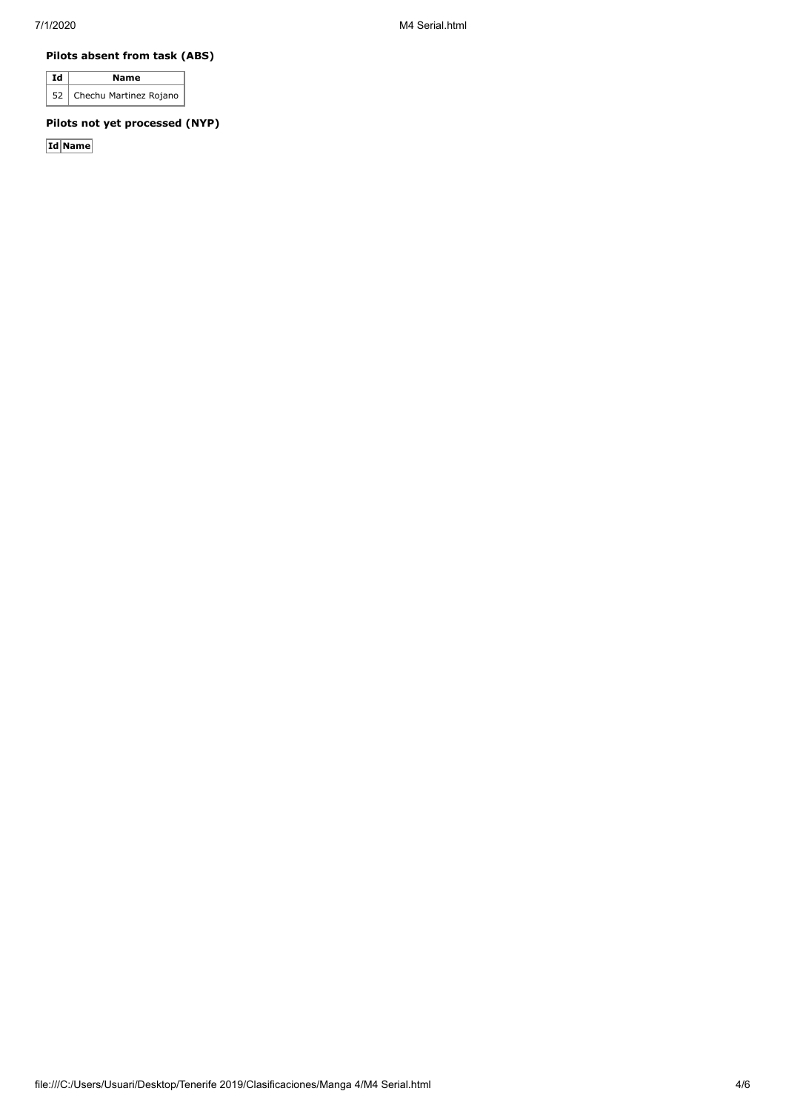### **Pilots absent from task (ABS)**

| Ιd | <b>Name</b>                 |
|----|-----------------------------|
|    | 52   Chechu Martinez Rojano |

## **Pilots not yet processed (NYP)**

**Id Name**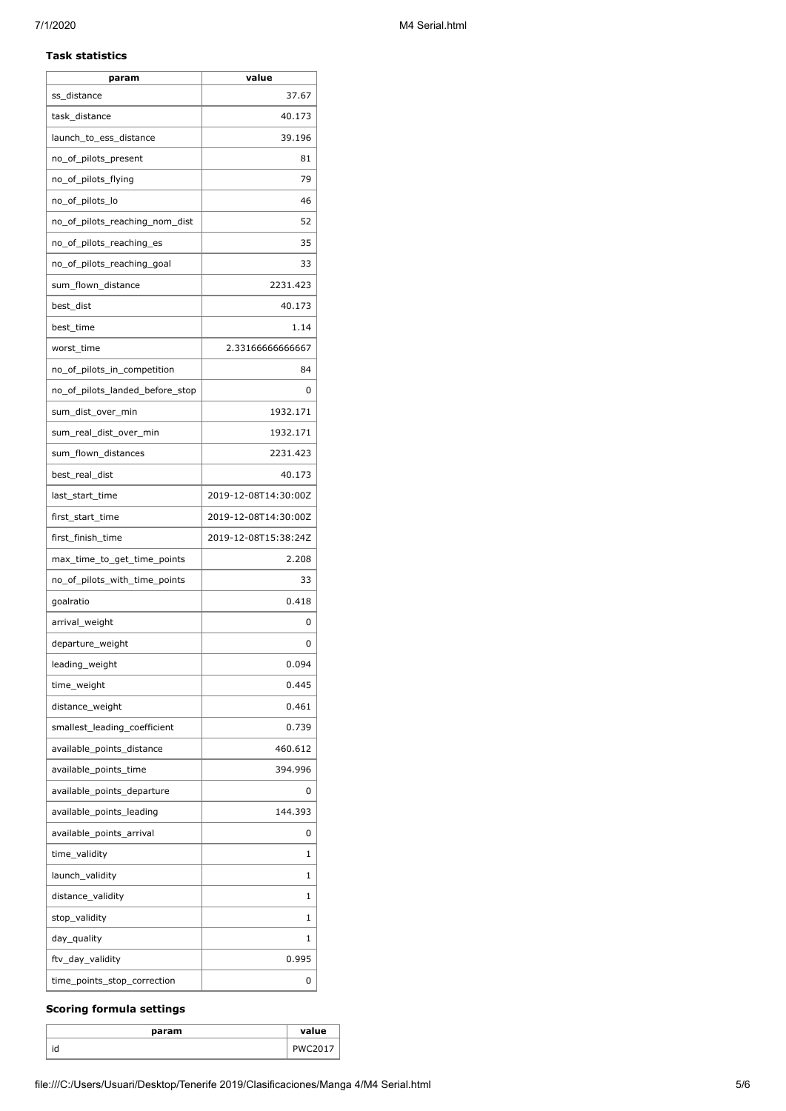#### **Task statistics**

| param                           | value                |
|---------------------------------|----------------------|
| ss_distance                     | 37.67                |
| task_distance                   | 40.173               |
| launch_to_ess_distance          | 39.196               |
| no_of_pilots_present            | 81                   |
| no_of_pilots_flying             | 79                   |
| no_of_pilots_lo                 | 46                   |
| no_of_pilots_reaching_nom_dist  | 52                   |
| no_of_pilots_reaching_es        | 35                   |
| no_of_pilots_reaching_goal      | 33                   |
| sum_flown_distance              | 2231.423             |
| best_dist                       | 40.173               |
| best_time                       | 1.14                 |
| worst time                      | 2.33166666666667     |
| no_of_pilots_in_competition     | 84                   |
| no_of_pilots_landed_before_stop | 0                    |
| sum_dist_over_min               | 1932.171             |
| sum_real_dist_over_min          | 1932.171             |
| sum_flown_distances             | 2231.423             |
| best_real_dist                  | 40.173               |
| last_start_time                 | 2019-12-08T14:30:00Z |
| first_start_time                | 2019-12-08T14:30:00Z |
| first_finish_time               | 2019-12-08T15:38:24Z |
| max_time_to_get_time_points     | 2.208                |
| no_of_pilots_with_time_points   | 33                   |
| goalratio                       | 0.418                |
| arrival_weight                  | 0                    |
| departure_weight                | 0                    |
| leading_weight                  | 0.094                |
| time_weight                     | 0.445                |
| distance_weight                 | 0.461                |
| smallest_leading_coefficient    | 0.739                |
| available_points_distance       | 460.612              |
| available_points_time           | 394.996              |
| available_points_departure      | 0                    |
| available_points_leading        | 144.393              |
| available_points_arrival        | 0                    |
| time_validity                   | 1                    |
| launch_validity                 | 1                    |
| distance_validity               | 1                    |
| stop_validity                   | 1                    |
| day_quality                     | 1                    |
| ftv_day_validity                | 0.995                |
| time_points_stop_correction     | 0                    |
|                                 |                      |

## **Scoring formula settings**

| param     | value |
|-----------|-------|
| . .<br>ıd |       |